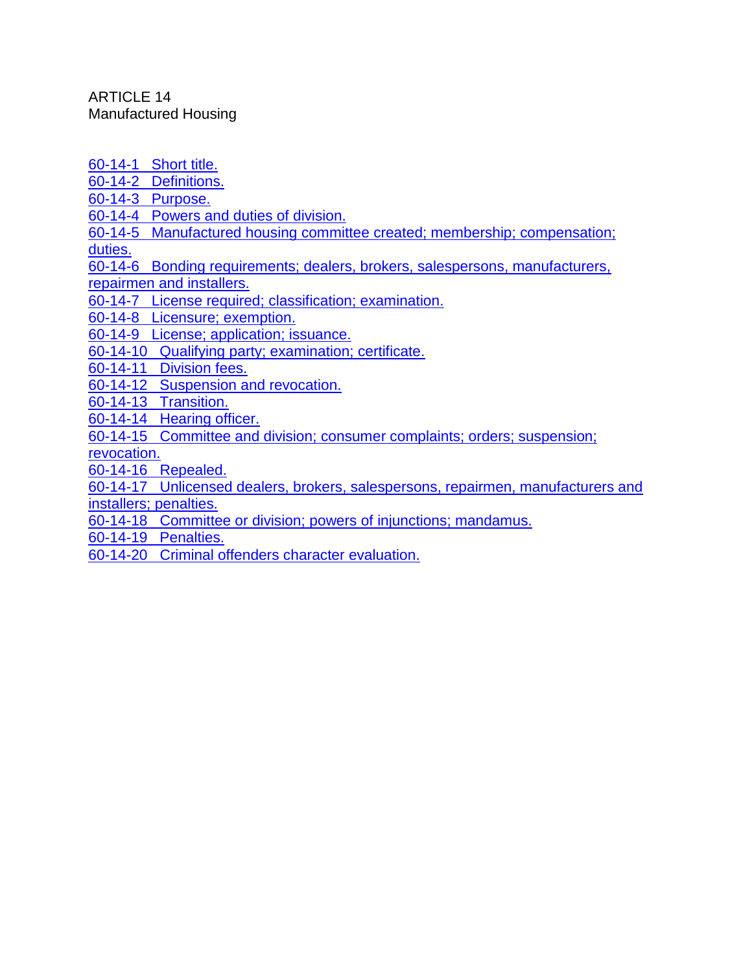ARTICLE 14 Manufactured Housing

[60-14-1 Short title.](http://www.nmonesource.com/nmpublic/gateway.dll?f=jumplink$jumplink_x=Advanced$jumplink_vpc=first$jumplink_xsl=querylink.xsl$jumplink_sel=title;path;content-type;home-title;item-bookmark$jumplink_d=%7Bnmsu%7D$jumplink_q=%5bfield%20folio-destination-name:%2760-14-1%27%5d$jumplink_md=target-id=0-0-0-18383)

[60-14-2 Definitions.](http://www.nmonesource.com/nmpublic/gateway.dll?f=jumplink$jumplink_x=Advanced$jumplink_vpc=first$jumplink_xsl=querylink.xsl$jumplink_sel=title;path;content-type;home-title;item-bookmark$jumplink_d=%7Bnmsu%7D$jumplink_q=%5bfield%20folio-destination-name:%2760-14-2%27%5d$jumplink_md=target-id=0-0-0-96287)

[60-14-3 Purpose.](http://www.nmonesource.com/nmpublic/gateway.dll?f=jumplink$jumplink_x=Advanced$jumplink_vpc=first$jumplink_xsl=querylink.xsl$jumplink_sel=title;path;content-type;home-title;item-bookmark$jumplink_d=%7Bnmsu%7D$jumplink_q=%5bfield%20folio-destination-name:%2760-14-3%27%5d$jumplink_md=target-id=0-0-0-96289)

[60-14-4 Powers and duties of division.](http://www.nmonesource.com/nmpublic/gateway.dll?f=jumplink$jumplink_x=Advanced$jumplink_vpc=first$jumplink_xsl=querylink.xsl$jumplink_sel=title;path;content-type;home-title;item-bookmark$jumplink_d=%7Bnmsu%7D$jumplink_q=%5bfield%20folio-destination-name:%2760-14-4%27%5d$jumplink_md=target-id=0-0-0-25237)

[60-14-5 Manufactured housing committee created; membership; compensation;](http://www.nmonesource.com/nmpublic/gateway.dll?f=jumplink$jumplink_x=Advanced$jumplink_vpc=first$jumplink_xsl=querylink.xsl$jumplink_sel=title;path;content-type;home-title;item-bookmark$jumplink_d=%7Bnmsu%7D$jumplink_q=%5bfield%20folio-destination-name:%2760-14-5%27%5d$jumplink_md=target-id=0-0-0-96291)  [duties.](http://www.nmonesource.com/nmpublic/gateway.dll?f=jumplink$jumplink_x=Advanced$jumplink_vpc=first$jumplink_xsl=querylink.xsl$jumplink_sel=title;path;content-type;home-title;item-bookmark$jumplink_d=%7Bnmsu%7D$jumplink_q=%5bfield%20folio-destination-name:%2760-14-5%27%5d$jumplink_md=target-id=0-0-0-96291)

[60-14-6 Bonding requirements; dealers, brokers, salespersons, manufacturers,](http://www.nmonesource.com/nmpublic/gateway.dll?f=jumplink$jumplink_x=Advanced$jumplink_vpc=first$jumplink_xsl=querylink.xsl$jumplink_sel=title;path;content-type;home-title;item-bookmark$jumplink_d=%7Bnmsu%7D$jumplink_q=%5bfield%20folio-destination-name:%2760-14-6%27%5d$jumplink_md=target-id=0-0-0-96293) 

[repairmen and installers.](http://www.nmonesource.com/nmpublic/gateway.dll?f=jumplink$jumplink_x=Advanced$jumplink_vpc=first$jumplink_xsl=querylink.xsl$jumplink_sel=title;path;content-type;home-title;item-bookmark$jumplink_d=%7Bnmsu%7D$jumplink_q=%5bfield%20folio-destination-name:%2760-14-6%27%5d$jumplink_md=target-id=0-0-0-96293)

[60-14-7 License required; classification; examination.](http://www.nmonesource.com/nmpublic/gateway.dll?f=jumplink$jumplink_x=Advanced$jumplink_vpc=first$jumplink_xsl=querylink.xsl$jumplink_sel=title;path;content-type;home-title;item-bookmark$jumplink_d=%7Bnmsu%7D$jumplink_q=%5bfield%20folio-destination-name:%2760-14-7%27%5d$jumplink_md=target-id=0-0-0-96295)

[60-14-8 Licensure; exemption.](http://www.nmonesource.com/nmpublic/gateway.dll?f=jumplink$jumplink_x=Advanced$jumplink_vpc=first$jumplink_xsl=querylink.xsl$jumplink_sel=title;path;content-type;home-title;item-bookmark$jumplink_d=%7Bnmsu%7D$jumplink_q=%5bfield%20folio-destination-name:%2760-14-8%27%5d$jumplink_md=target-id=0-0-0-96297)

[60-14-9 License; application; issuance.](http://www.nmonesource.com/nmpublic/gateway.dll?f=jumplink$jumplink_x=Advanced$jumplink_vpc=first$jumplink_xsl=querylink.xsl$jumplink_sel=title;path;content-type;home-title;item-bookmark$jumplink_d=%7Bnmsu%7D$jumplink_q=%5bfield%20folio-destination-name:%2760-14-9%27%5d$jumplink_md=target-id=0-0-0-25239)

[60-14-10 Qualifying party; examination; certificate.](http://www.nmonesource.com/nmpublic/gateway.dll?f=jumplink$jumplink_x=Advanced$jumplink_vpc=first$jumplink_xsl=querylink.xsl$jumplink_sel=title;path;content-type;home-title;item-bookmark$jumplink_d=%7Bnmsu%7D$jumplink_q=%5bfield%20folio-destination-name:%2760-14-10%27%5d$jumplink_md=target-id=0-0-0-96299)

[60-14-11 Division fees.](http://www.nmonesource.com/nmpublic/gateway.dll?f=jumplink$jumplink_x=Advanced$jumplink_vpc=first$jumplink_xsl=querylink.xsl$jumplink_sel=title;path;content-type;home-title;item-bookmark$jumplink_d=%7Bnmsu%7D$jumplink_q=%5bfield%20folio-destination-name:%2760-14-11%27%5d$jumplink_md=target-id=0-0-0-96301)

[60-14-12 Suspension and revocation.](http://www.nmonesource.com/nmpublic/gateway.dll?f=jumplink$jumplink_x=Advanced$jumplink_vpc=first$jumplink_xsl=querylink.xsl$jumplink_sel=title;path;content-type;home-title;item-bookmark$jumplink_d=%7Bnmsu%7D$jumplink_q=%5bfield%20folio-destination-name:%2760-14-12%27%5d$jumplink_md=target-id=0-0-0-25241)

[60-14-13 Transition.](http://www.nmonesource.com/nmpublic/gateway.dll?f=jumplink$jumplink_x=Advanced$jumplink_vpc=first$jumplink_xsl=querylink.xsl$jumplink_sel=title;path;content-type;home-title;item-bookmark$jumplink_d=%7Bnmsu%7D$jumplink_q=%5bfield%20folio-destination-name:%2760-14-13%27%5d$jumplink_md=target-id=0-0-0-96303)

[60-14-14 Hearing officer.](http://www.nmonesource.com/nmpublic/gateway.dll?f=jumplink$jumplink_x=Advanced$jumplink_vpc=first$jumplink_xsl=querylink.xsl$jumplink_sel=title;path;content-type;home-title;item-bookmark$jumplink_d=%7Bnmsu%7D$jumplink_q=%5bfield%20folio-destination-name:%2760-14-14%27%5d$jumplink_md=target-id=0-0-0-25243)

[60-14-15 Committee and division; consumer complaints; orders; suspension;](http://www.nmonesource.com/nmpublic/gateway.dll?f=jumplink$jumplink_x=Advanced$jumplink_vpc=first$jumplink_xsl=querylink.xsl$jumplink_sel=title;path;content-type;home-title;item-bookmark$jumplink_d=%7Bnmsu%7D$jumplink_q=%5bfield%20folio-destination-name:%2760-14-15%27%5d$jumplink_md=target-id=0-0-0-96305) 

[revocation.](http://www.nmonesource.com/nmpublic/gateway.dll?f=jumplink$jumplink_x=Advanced$jumplink_vpc=first$jumplink_xsl=querylink.xsl$jumplink_sel=title;path;content-type;home-title;item-bookmark$jumplink_d=%7Bnmsu%7D$jumplink_q=%5bfield%20folio-destination-name:%2760-14-15%27%5d$jumplink_md=target-id=0-0-0-96305) 

[60-14-16 Repealed.](http://www.nmonesource.com/nmpublic/gateway.dll?f=jumplink$jumplink_x=Advanced$jumplink_vpc=first$jumplink_xsl=querylink.xsl$jumplink_sel=title;path;content-type;home-title;item-bookmark$jumplink_d=%7Bnmsu%7D$jumplink_q=%5bfield%20folio-destination-name:%2760-14-16%27%5d$jumplink_md=target-id=0-0-0-96307)

[60-14-17 Unlicensed dealers, brokers, salespersons, repairmen, manufacturers and](http://www.nmonesource.com/nmpublic/gateway.dll?f=jumplink$jumplink_x=Advanced$jumplink_vpc=first$jumplink_xsl=querylink.xsl$jumplink_sel=title;path;content-type;home-title;item-bookmark$jumplink_d=%7Bnmsu%7D$jumplink_q=%5bfield%20folio-destination-name:%2760-14-17%27%5d$jumplink_md=target-id=0-0-0-96309)  [installers; penalties.](http://www.nmonesource.com/nmpublic/gateway.dll?f=jumplink$jumplink_x=Advanced$jumplink_vpc=first$jumplink_xsl=querylink.xsl$jumplink_sel=title;path;content-type;home-title;item-bookmark$jumplink_d=%7Bnmsu%7D$jumplink_q=%5bfield%20folio-destination-name:%2760-14-17%27%5d$jumplink_md=target-id=0-0-0-96309)

[60-14-18 Committee or division; powers of injunctions; mandamus.](http://www.nmonesource.com/nmpublic/gateway.dll?f=jumplink$jumplink_x=Advanced$jumplink_vpc=first$jumplink_xsl=querylink.xsl$jumplink_sel=title;path;content-type;home-title;item-bookmark$jumplink_d=%7Bnmsu%7D$jumplink_q=%5bfield%20folio-destination-name:%2760-14-18%27%5d$jumplink_md=target-id=0-0-0-96311)

[60-14-19 Penalties.](http://www.nmonesource.com/nmpublic/gateway.dll?f=jumplink$jumplink_x=Advanced$jumplink_vpc=first$jumplink_xsl=querylink.xsl$jumplink_sel=title;path;content-type;home-title;item-bookmark$jumplink_d=%7Bnmsu%7D$jumplink_q=%5bfield%20folio-destination-name:%2760-14-19%27%5d$jumplink_md=target-id=0-0-0-96313)

[60-14-20 Criminal offenders character evaluation.](http://www.nmonesource.com/nmpublic/gateway.dll?f=jumplink$jumplink_x=Advanced$jumplink_vpc=first$jumplink_xsl=querylink.xsl$jumplink_sel=title;path;content-type;home-title;item-bookmark$jumplink_d=%7Bnmsu%7D$jumplink_q=%5bfield%20folio-destination-name:%2760-14-20%27%5d$jumplink_md=target-id=0-0-0-96315)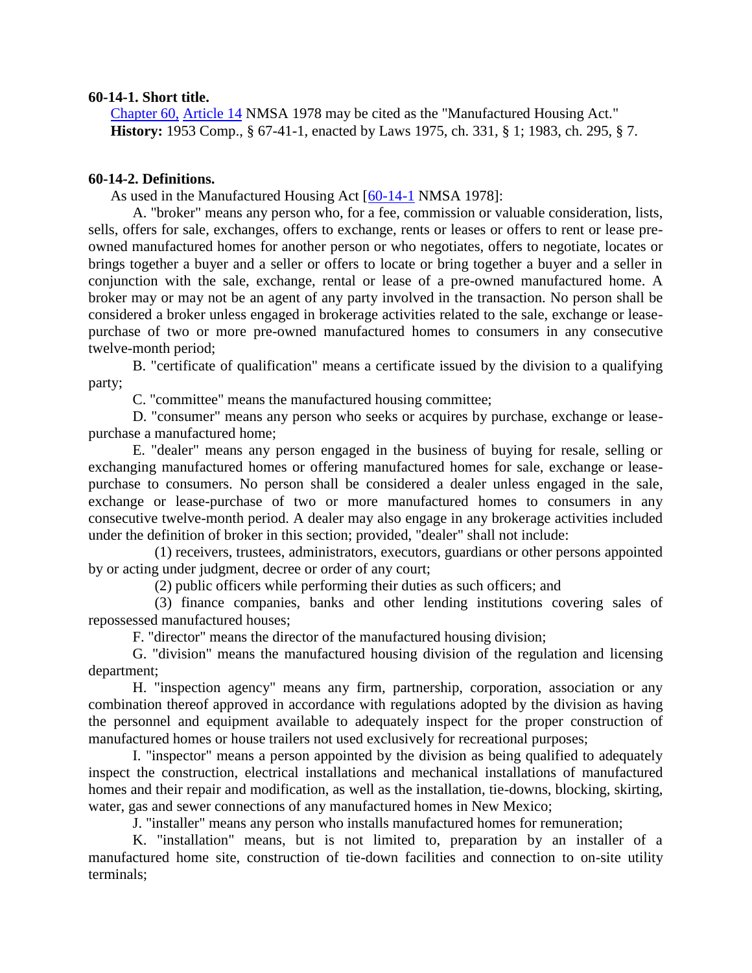## **60-14-1. Short title.**

[Chapter 60,](http://www.nmonesource.com/nmpublic/gateway.dll?f=jumplink$jumplink_x=Advanced$jumplink_vpc=first$jumplink_xsl=querylink.xsl$jumplink_sel=title;path;content-type;home-title;item-bookmark$jumplink_d=%7bnmsu%7d$jumplink_q=%5bfield%20folio-destination-name:) [Article 14](http://www.nmonesource.com/nmpublic/gateway.dll?f=jumplink$jumplink_x=Advanced$jumplink_vpc=first$jumplink_xsl=querylink.xsl$jumplink_sel=title;path;content-type;home-title;item-bookmark$jumplink_d=%7bnmsu%7d$jumplink_q=%5bfield%20folio-destination-name:) NMSA 1978 may be cited as the "Manufactured Housing Act." **History:** 1953 Comp., § 67-41-1, enacted by Laws 1975, ch. 331, § 1; 1983, ch. 295, § 7.

# **60-14-2. Definitions.**

As used in the Manufactured Housing Act [\[60-14-1](http://www.nmonesource.com/nmpublic/gateway.dll?f=jumplink$jumplink_x=Advanced$jumplink_vpc=first$jumplink_xsl=querylink.xsl$jumplink_sel=title;path;content-type;home-title;item-bookmark$jumplink_d=%7bnmsu%7d$jumplink_q=%5bfield%20folio-destination-name:) NMSA 1978]:

A. "broker" means any person who, for a fee, commission or valuable consideration, lists, sells, offers for sale, exchanges, offers to exchange, rents or leases or offers to rent or lease preowned manufactured homes for another person or who negotiates, offers to negotiate, locates or brings together a buyer and a seller or offers to locate or bring together a buyer and a seller in conjunction with the sale, exchange, rental or lease of a pre-owned manufactured home. A broker may or may not be an agent of any party involved in the transaction. No person shall be considered a broker unless engaged in brokerage activities related to the sale, exchange or leasepurchase of two or more pre-owned manufactured homes to consumers in any consecutive twelve-month period;

B. "certificate of qualification" means a certificate issued by the division to a qualifying party;

C. "committee" means the manufactured housing committee;

D. "consumer" means any person who seeks or acquires by purchase, exchange or leasepurchase a manufactured home;

E. "dealer" means any person engaged in the business of buying for resale, selling or exchanging manufactured homes or offering manufactured homes for sale, exchange or leasepurchase to consumers. No person shall be considered a dealer unless engaged in the sale, exchange or lease-purchase of two or more manufactured homes to consumers in any consecutive twelve-month period. A dealer may also engage in any brokerage activities included under the definition of broker in this section; provided, "dealer" shall not include:

(1) receivers, trustees, administrators, executors, guardians or other persons appointed by or acting under judgment, decree or order of any court;

(2) public officers while performing their duties as such officers; and

(3) finance companies, banks and other lending institutions covering sales of repossessed manufactured houses;

F. "director" means the director of the manufactured housing division;

G. "division" means the manufactured housing division of the regulation and licensing department;

H. "inspection agency" means any firm, partnership, corporation, association or any combination thereof approved in accordance with regulations adopted by the division as having the personnel and equipment available to adequately inspect for the proper construction of manufactured homes or house trailers not used exclusively for recreational purposes;

I. "inspector" means a person appointed by the division as being qualified to adequately inspect the construction, electrical installations and mechanical installations of manufactured homes and their repair and modification, as well as the installation, tie-downs, blocking, skirting, water, gas and sewer connections of any manufactured homes in New Mexico;

J. "installer" means any person who installs manufactured homes for remuneration;

K. "installation" means, but is not limited to, preparation by an installer of a manufactured home site, construction of tie-down facilities and connection to on-site utility terminals;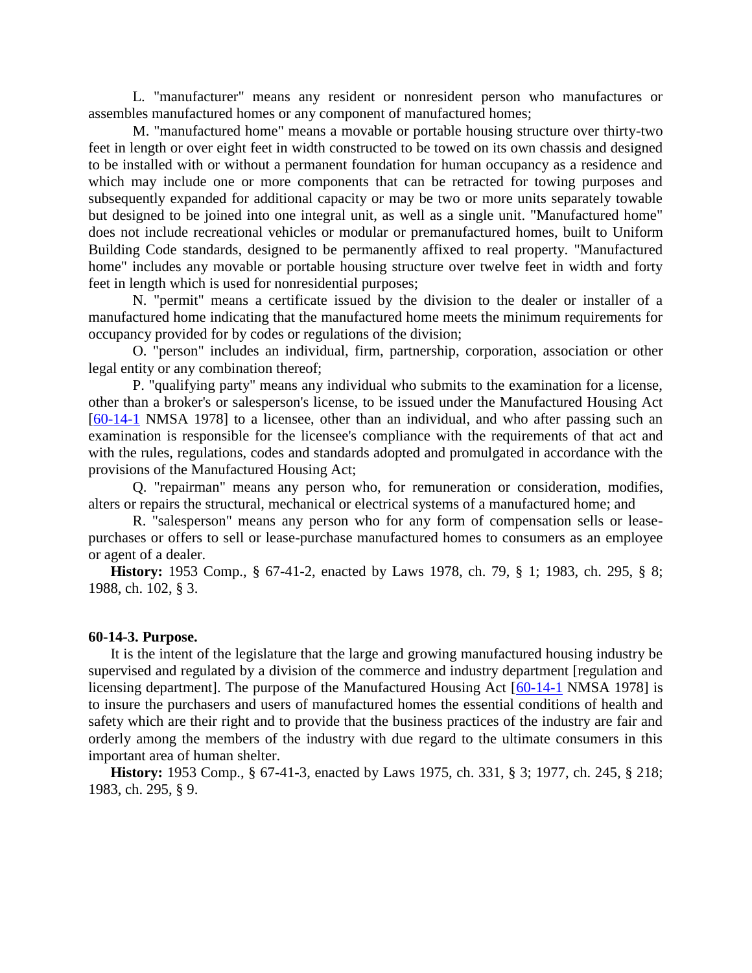L. "manufacturer" means any resident or nonresident person who manufactures or assembles manufactured homes or any component of manufactured homes;

M. "manufactured home" means a movable or portable housing structure over thirty-two feet in length or over eight feet in width constructed to be towed on its own chassis and designed to be installed with or without a permanent foundation for human occupancy as a residence and which may include one or more components that can be retracted for towing purposes and subsequently expanded for additional capacity or may be two or more units separately towable but designed to be joined into one integral unit, as well as a single unit. "Manufactured home" does not include recreational vehicles or modular or premanufactured homes, built to Uniform Building Code standards, designed to be permanently affixed to real property. "Manufactured home" includes any movable or portable housing structure over twelve feet in width and forty feet in length which is used for nonresidential purposes;

N. "permit" means a certificate issued by the division to the dealer or installer of a manufactured home indicating that the manufactured home meets the minimum requirements for occupancy provided for by codes or regulations of the division;

O. "person" includes an individual, firm, partnership, corporation, association or other legal entity or any combination thereof;

P. "qualifying party" means any individual who submits to the examination for a license, other than a broker's or salesperson's license, to be issued under the Manufactured Housing Act [\[60-14-1](http://www.nmonesource.com/nmpublic/gateway.dll?f=jumplink$jumplink_x=Advanced$jumplink_vpc=first$jumplink_xsl=querylink.xsl$jumplink_sel=title;path;content-type;home-title;item-bookmark$jumplink_d=%7bnmsu%7d$jumplink_q=%5bfield%20folio-destination-name:) NMSA 1978] to a licensee, other than an individual, and who after passing such an examination is responsible for the licensee's compliance with the requirements of that act and with the rules, regulations, codes and standards adopted and promulgated in accordance with the provisions of the Manufactured Housing Act;

Q. "repairman" means any person who, for remuneration or consideration, modifies, alters or repairs the structural, mechanical or electrical systems of a manufactured home; and

R. "salesperson" means any person who for any form of compensation sells or leasepurchases or offers to sell or lease-purchase manufactured homes to consumers as an employee or agent of a dealer.

**History:** 1953 Comp., § 67-41-2, enacted by Laws 1978, ch. 79, § 1; 1983, ch. 295, § 8; 1988, ch. 102, § 3.

### **60-14-3. Purpose.**

It is the intent of the legislature that the large and growing manufactured housing industry be supervised and regulated by a division of the commerce and industry department [regulation and licensing department]. The purpose of the Manufactured Housing Act [\[60-14-1](http://www.nmonesource.com/nmpublic/gateway.dll?f=jumplink$jumplink_x=Advanced$jumplink_vpc=first$jumplink_xsl=querylink.xsl$jumplink_sel=title;path;content-type;home-title;item-bookmark$jumplink_d=%7bnmsu%7d$jumplink_q=%5bfield%20folio-destination-name:) NMSA 1978] is to insure the purchasers and users of manufactured homes the essential conditions of health and safety which are their right and to provide that the business practices of the industry are fair and orderly among the members of the industry with due regard to the ultimate consumers in this important area of human shelter.

**History:** 1953 Comp., § 67-41-3, enacted by Laws 1975, ch. 331, § 3; 1977, ch. 245, § 218; 1983, ch. 295, § 9.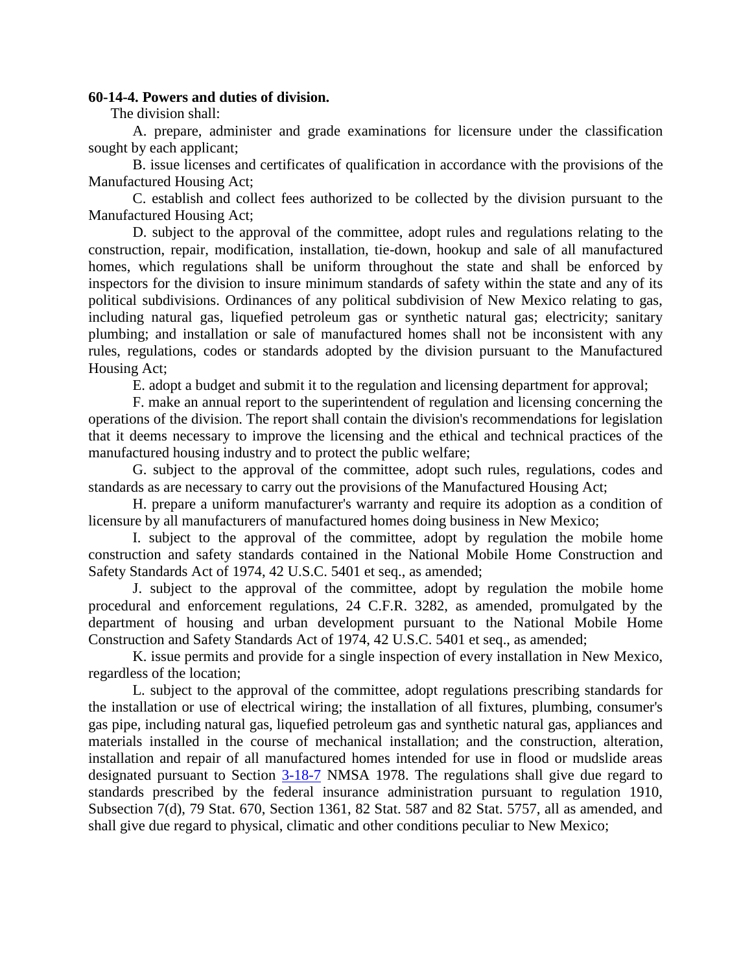## **60-14-4. Powers and duties of division.**

The division shall:

A. prepare, administer and grade examinations for licensure under the classification sought by each applicant;

B. issue licenses and certificates of qualification in accordance with the provisions of the Manufactured Housing Act;

C. establish and collect fees authorized to be collected by the division pursuant to the Manufactured Housing Act;

D. subject to the approval of the committee, adopt rules and regulations relating to the construction, repair, modification, installation, tie-down, hookup and sale of all manufactured homes, which regulations shall be uniform throughout the state and shall be enforced by inspectors for the division to insure minimum standards of safety within the state and any of its political subdivisions. Ordinances of any political subdivision of New Mexico relating to gas, including natural gas, liquefied petroleum gas or synthetic natural gas; electricity; sanitary plumbing; and installation or sale of manufactured homes shall not be inconsistent with any rules, regulations, codes or standards adopted by the division pursuant to the Manufactured Housing Act;

E. adopt a budget and submit it to the regulation and licensing department for approval;

F. make an annual report to the superintendent of regulation and licensing concerning the operations of the division. The report shall contain the division's recommendations for legislation that it deems necessary to improve the licensing and the ethical and technical practices of the manufactured housing industry and to protect the public welfare;

G. subject to the approval of the committee, adopt such rules, regulations, codes and standards as are necessary to carry out the provisions of the Manufactured Housing Act;

H. prepare a uniform manufacturer's warranty and require its adoption as a condition of licensure by all manufacturers of manufactured homes doing business in New Mexico;

I. subject to the approval of the committee, adopt by regulation the mobile home construction and safety standards contained in the National Mobile Home Construction and Safety Standards Act of 1974, 42 U.S.C. 5401 et seq., as amended;

J. subject to the approval of the committee, adopt by regulation the mobile home procedural and enforcement regulations, 24 C.F.R. 3282, as amended, promulgated by the department of housing and urban development pursuant to the National Mobile Home Construction and Safety Standards Act of 1974, 42 U.S.C. 5401 et seq., as amended;

K. issue permits and provide for a single inspection of every installation in New Mexico, regardless of the location;

L. subject to the approval of the committee, adopt regulations prescribing standards for the installation or use of electrical wiring; the installation of all fixtures, plumbing, consumer's gas pipe, including natural gas, liquefied petroleum gas and synthetic natural gas, appliances and materials installed in the course of mechanical installation; and the construction, alteration, installation and repair of all manufactured homes intended for use in flood or mudslide areas designated pursuant to Section [3-18-7](http://www.nmonesource.com/nmpublic/gateway.dll?f=jumplink$jumplink_x=Advanced$jumplink_vpc=first$jumplink_xsl=querylink.xsl$jumplink_sel=title;path;content-type;home-title;item-bookmark$jumplink_d=%7bnmsu%7d$jumplink_q=%5bfield%20folio-destination-name:) NMSA 1978. The regulations shall give due regard to standards prescribed by the federal insurance administration pursuant to regulation 1910, Subsection 7(d), 79 Stat. 670, Section 1361, 82 Stat. 587 and 82 Stat. 5757, all as amended, and shall give due regard to physical, climatic and other conditions peculiar to New Mexico;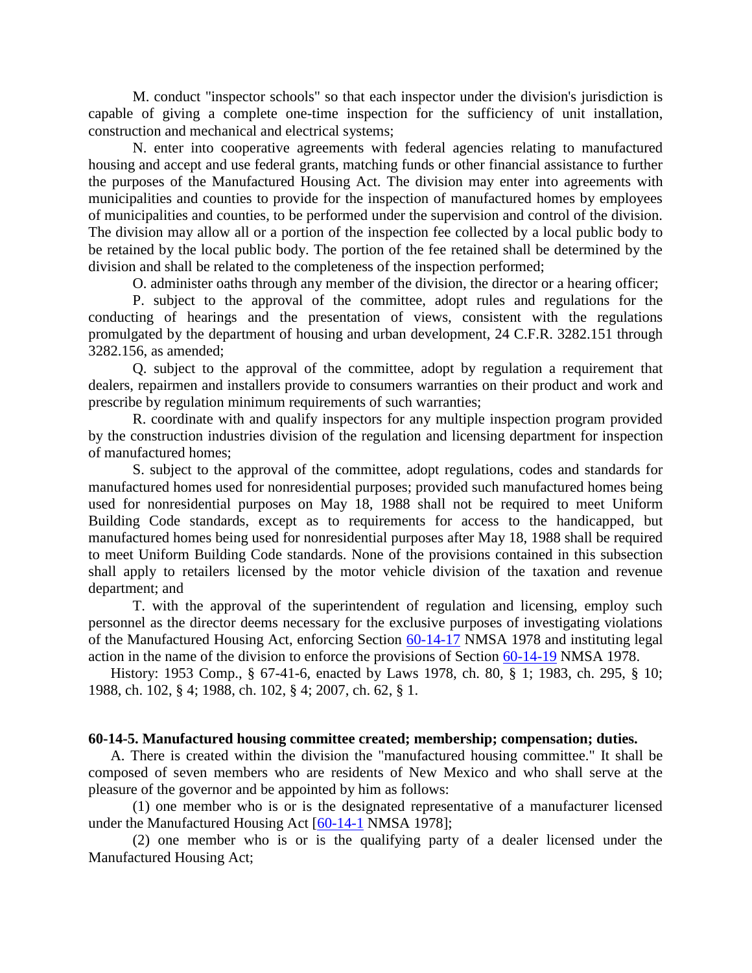M. conduct "inspector schools" so that each inspector under the division's jurisdiction is capable of giving a complete one-time inspection for the sufficiency of unit installation, construction and mechanical and electrical systems;

N. enter into cooperative agreements with federal agencies relating to manufactured housing and accept and use federal grants, matching funds or other financial assistance to further the purposes of the Manufactured Housing Act. The division may enter into agreements with municipalities and counties to provide for the inspection of manufactured homes by employees of municipalities and counties, to be performed under the supervision and control of the division. The division may allow all or a portion of the inspection fee collected by a local public body to be retained by the local public body. The portion of the fee retained shall be determined by the division and shall be related to the completeness of the inspection performed;

O. administer oaths through any member of the division, the director or a hearing officer;

P. subject to the approval of the committee, adopt rules and regulations for the conducting of hearings and the presentation of views, consistent with the regulations promulgated by the department of housing and urban development, 24 C.F.R. 3282.151 through 3282.156, as amended;

Q. subject to the approval of the committee, adopt by regulation a requirement that dealers, repairmen and installers provide to consumers warranties on their product and work and prescribe by regulation minimum requirements of such warranties;

R. coordinate with and qualify inspectors for any multiple inspection program provided by the construction industries division of the regulation and licensing department for inspection of manufactured homes;

S. subject to the approval of the committee, adopt regulations, codes and standards for manufactured homes used for nonresidential purposes; provided such manufactured homes being used for nonresidential purposes on May 18, 1988 shall not be required to meet Uniform Building Code standards, except as to requirements for access to the handicapped, but manufactured homes being used for nonresidential purposes after May 18, 1988 shall be required to meet Uniform Building Code standards. None of the provisions contained in this subsection shall apply to retailers licensed by the motor vehicle division of the taxation and revenue department; and

T. with the approval of the superintendent of regulation and licensing, employ such personnel as the director deems necessary for the exclusive purposes of investigating violations of the Manufactured Housing Act, enforcing Section [60-14-17](http://www.nmonesource.com/nmpublic/gateway.dll?f=jumplink$jumplink_x=Advanced$jumplink_vpc=first$jumplink_xsl=querylink.xsl$jumplink_sel=title;path;content-type;home-title;item-bookmark$jumplink_d=%7bnmsu%7d$jumplink_q=%5bfield%20folio-destination-name:) NMSA 1978 and instituting legal action in the name of the division to enforce the provisions of Section [60-14-19](http://www.nmonesource.com/nmpublic/gateway.dll?f=jumplink$jumplink_x=Advanced$jumplink_vpc=first$jumplink_xsl=querylink.xsl$jumplink_sel=title;path;content-type;home-title;item-bookmark$jumplink_d=%7bnmsu%7d$jumplink_q=%5bfield%20folio-destination-name:) NMSA 1978.

History: 1953 Comp., § 67-41-6, enacted by Laws 1978, ch. 80, § 1; 1983, ch. 295, § 10; 1988, ch. 102, § 4; 1988, ch. 102, § 4; 2007, ch. 62, § 1.

#### **60-14-5. Manufactured housing committee created; membership; compensation; duties.**

A. There is created within the division the "manufactured housing committee." It shall be composed of seven members who are residents of New Mexico and who shall serve at the pleasure of the governor and be appointed by him as follows:

(1) one member who is or is the designated representative of a manufacturer licensed under the Manufactured Housing Act [\[60-14-1](http://www.nmonesource.com/nmpublic/gateway.dll?f=jumplink$jumplink_x=Advanced$jumplink_vpc=first$jumplink_xsl=querylink.xsl$jumplink_sel=title;path;content-type;home-title;item-bookmark$jumplink_d=%7bnmsu%7d$jumplink_q=%5bfield%20folio-destination-name:) NMSA 1978];

(2) one member who is or is the qualifying party of a dealer licensed under the Manufactured Housing Act;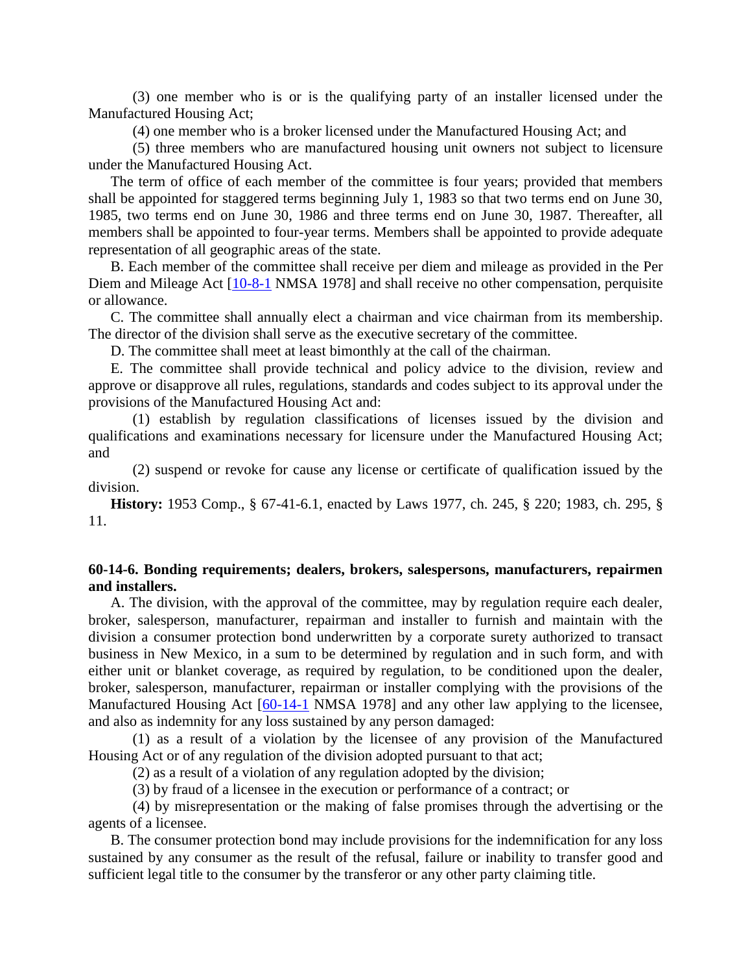(3) one member who is or is the qualifying party of an installer licensed under the Manufactured Housing Act;

(4) one member who is a broker licensed under the Manufactured Housing Act; and

(5) three members who are manufactured housing unit owners not subject to licensure under the Manufactured Housing Act.

The term of office of each member of the committee is four years; provided that members shall be appointed for staggered terms beginning July 1, 1983 so that two terms end on June 30, 1985, two terms end on June 30, 1986 and three terms end on June 30, 1987. Thereafter, all members shall be appointed to four-year terms. Members shall be appointed to provide adequate representation of all geographic areas of the state.

B. Each member of the committee shall receive per diem and mileage as provided in the Per Diem and Mileage Act [\[10-8-1](http://www.nmonesource.com/nmpublic/gateway.dll?f=jumplink$jumplink_x=Advanced$jumplink_vpc=first$jumplink_xsl=querylink.xsl$jumplink_sel=title;path;content-type;home-title;item-bookmark$jumplink_d=%7bnmsu%7d$jumplink_q=%5bfield%20folio-destination-name:) NMSA 1978] and shall receive no other compensation, perquisite or allowance.

C. The committee shall annually elect a chairman and vice chairman from its membership. The director of the division shall serve as the executive secretary of the committee.

D. The committee shall meet at least bimonthly at the call of the chairman.

E. The committee shall provide technical and policy advice to the division, review and approve or disapprove all rules, regulations, standards and codes subject to its approval under the provisions of the Manufactured Housing Act and:

(1) establish by regulation classifications of licenses issued by the division and qualifications and examinations necessary for licensure under the Manufactured Housing Act; and

(2) suspend or revoke for cause any license or certificate of qualification issued by the division.

**History:** 1953 Comp., § 67-41-6.1, enacted by Laws 1977, ch. 245, § 220; 1983, ch. 295, § 11.

# **60-14-6. Bonding requirements; dealers, brokers, salespersons, manufacturers, repairmen and installers.**

A. The division, with the approval of the committee, may by regulation require each dealer, broker, salesperson, manufacturer, repairman and installer to furnish and maintain with the division a consumer protection bond underwritten by a corporate surety authorized to transact business in New Mexico, in a sum to be determined by regulation and in such form, and with either unit or blanket coverage, as required by regulation, to be conditioned upon the dealer, broker, salesperson, manufacturer, repairman or installer complying with the provisions of the Manufactured Housing Act [\[60-14-1](http://www.nmonesource.com/nmpublic/gateway.dll?f=jumplink$jumplink_x=Advanced$jumplink_vpc=first$jumplink_xsl=querylink.xsl$jumplink_sel=title;path;content-type;home-title;item-bookmark$jumplink_d=%7bnmsu%7d$jumplink_q=%5bfield%20folio-destination-name:) NMSA 1978] and any other law applying to the licensee, and also as indemnity for any loss sustained by any person damaged:

(1) as a result of a violation by the licensee of any provision of the Manufactured Housing Act or of any regulation of the division adopted pursuant to that act;

(2) as a result of a violation of any regulation adopted by the division;

(3) by fraud of a licensee in the execution or performance of a contract; or

(4) by misrepresentation or the making of false promises through the advertising or the agents of a licensee.

B. The consumer protection bond may include provisions for the indemnification for any loss sustained by any consumer as the result of the refusal, failure or inability to transfer good and sufficient legal title to the consumer by the transferor or any other party claiming title.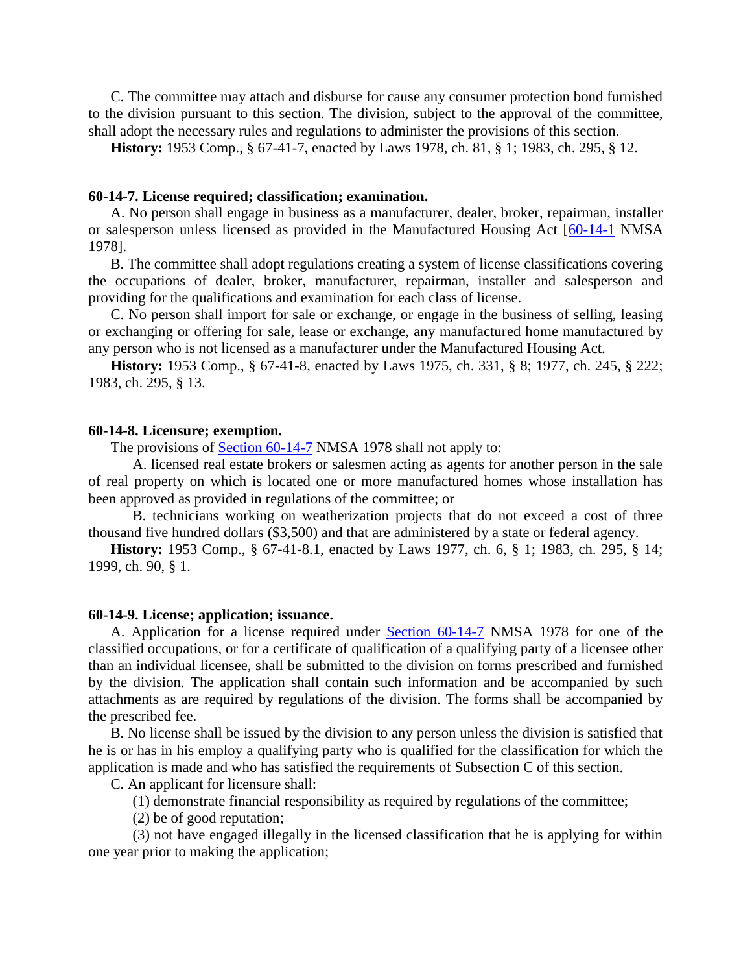C. The committee may attach and disburse for cause any consumer protection bond furnished to the division pursuant to this section. The division, subject to the approval of the committee, shall adopt the necessary rules and regulations to administer the provisions of this section.

**History:** 1953 Comp., § 67-41-7, enacted by Laws 1978, ch. 81, § 1; 1983, ch. 295, § 12.

#### **60-14-7. License required; classification; examination.**

A. No person shall engage in business as a manufacturer, dealer, broker, repairman, installer or salesperson unless licensed as provided in the Manufactured Housing Act [\[60-14-1](http://www.nmonesource.com/nmpublic/gateway.dll?f=jumplink$jumplink_x=Advanced$jumplink_vpc=first$jumplink_xsl=querylink.xsl$jumplink_sel=title;path;content-type;home-title;item-bookmark$jumplink_d=%7bnmsu%7d$jumplink_q=%5bfield%20folio-destination-name:) NMSA 1978].

B. The committee shall adopt regulations creating a system of license classifications covering the occupations of dealer, broker, manufacturer, repairman, installer and salesperson and providing for the qualifications and examination for each class of license.

C. No person shall import for sale or exchange, or engage in the business of selling, leasing or exchanging or offering for sale, lease or exchange, any manufactured home manufactured by any person who is not licensed as a manufacturer under the Manufactured Housing Act.

**History:** 1953 Comp., § 67-41-8, enacted by Laws 1975, ch. 331, § 8; 1977, ch. 245, § 222; 1983, ch. 295, § 13.

#### **60-14-8. Licensure; exemption.**

The provisions of [Section 60-14-7](http://www.nmonesource.com/nmpublic/gateway.dll?f=jumplink$jumplink_x=Advanced$jumplink_vpc=first$jumplink_xsl=querylink.xsl$jumplink_sel=title;path;content-type;home-title;item-bookmark$jumplink_d=%7bnmsu%7d$jumplink_q=%5bfield%20folio-destination-name:) NMSA 1978 shall not apply to:

A. licensed real estate brokers or salesmen acting as agents for another person in the sale of real property on which is located one or more manufactured homes whose installation has been approved as provided in regulations of the committee; or

B. technicians working on weatherization projects that do not exceed a cost of three thousand five hundred dollars (\$3,500) and that are administered by a state or federal agency.

**History:** 1953 Comp., § 67-41-8.1, enacted by Laws 1977, ch. 6, § 1; 1983, ch. 295, § 14; 1999, ch. 90, § 1.

#### **60-14-9. License; application; issuance.**

A. Application for a license required under [Section 60-14-7](http://www.nmonesource.com/nmpublic/gateway.dll?f=jumplink$jumplink_x=Advanced$jumplink_vpc=first$jumplink_xsl=querylink.xsl$jumplink_sel=title;path;content-type;home-title;item-bookmark$jumplink_d=%7bnmsu%7d$jumplink_q=%5bfield%20folio-destination-name:) NMSA 1978 for one of the classified occupations, or for a certificate of qualification of a qualifying party of a licensee other than an individual licensee, shall be submitted to the division on forms prescribed and furnished by the division. The application shall contain such information and be accompanied by such attachments as are required by regulations of the division. The forms shall be accompanied by the prescribed fee.

B. No license shall be issued by the division to any person unless the division is satisfied that he is or has in his employ a qualifying party who is qualified for the classification for which the application is made and who has satisfied the requirements of Subsection C of this section.

C. An applicant for licensure shall:

(1) demonstrate financial responsibility as required by regulations of the committee;

(2) be of good reputation;

(3) not have engaged illegally in the licensed classification that he is applying for within one year prior to making the application;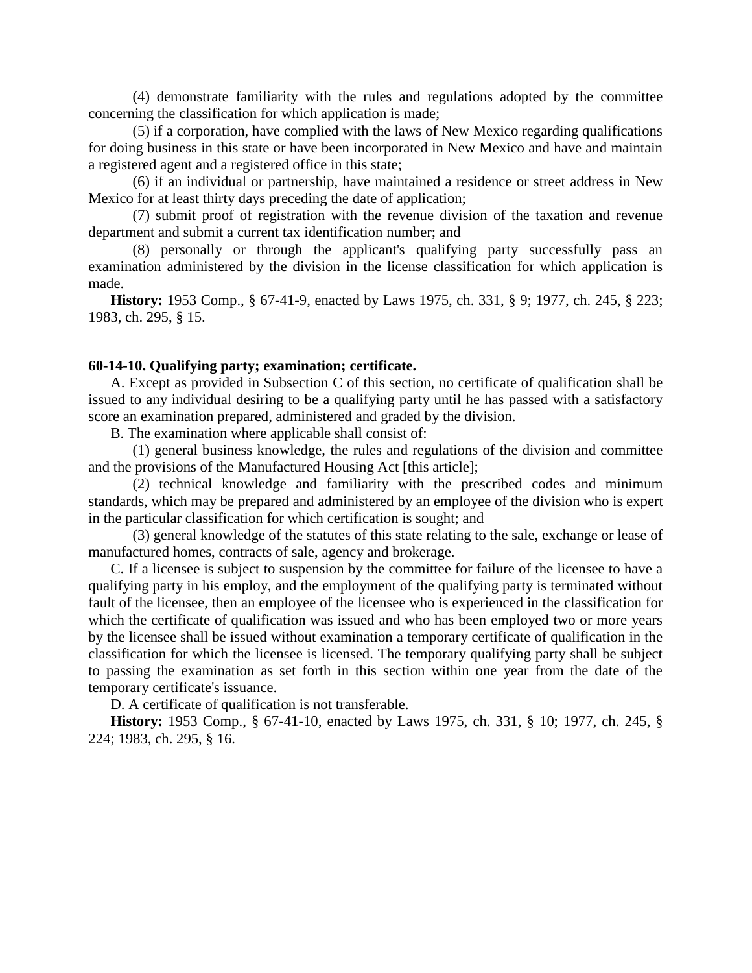(4) demonstrate familiarity with the rules and regulations adopted by the committee concerning the classification for which application is made;

(5) if a corporation, have complied with the laws of New Mexico regarding qualifications for doing business in this state or have been incorporated in New Mexico and have and maintain a registered agent and a registered office in this state;

(6) if an individual or partnership, have maintained a residence or street address in New Mexico for at least thirty days preceding the date of application;

(7) submit proof of registration with the revenue division of the taxation and revenue department and submit a current tax identification number; and

(8) personally or through the applicant's qualifying party successfully pass an examination administered by the division in the license classification for which application is made.

**History:** 1953 Comp., § 67-41-9, enacted by Laws 1975, ch. 331, § 9; 1977, ch. 245, § 223; 1983, ch. 295, § 15.

# **60-14-10. Qualifying party; examination; certificate.**

A. Except as provided in Subsection C of this section, no certificate of qualification shall be issued to any individual desiring to be a qualifying party until he has passed with a satisfactory score an examination prepared, administered and graded by the division.

B. The examination where applicable shall consist of:

(1) general business knowledge, the rules and regulations of the division and committee and the provisions of the Manufactured Housing Act [this article];

(2) technical knowledge and familiarity with the prescribed codes and minimum standards, which may be prepared and administered by an employee of the division who is expert in the particular classification for which certification is sought; and

(3) general knowledge of the statutes of this state relating to the sale, exchange or lease of manufactured homes, contracts of sale, agency and brokerage.

C. If a licensee is subject to suspension by the committee for failure of the licensee to have a qualifying party in his employ, and the employment of the qualifying party is terminated without fault of the licensee, then an employee of the licensee who is experienced in the classification for which the certificate of qualification was issued and who has been employed two or more years by the licensee shall be issued without examination a temporary certificate of qualification in the classification for which the licensee is licensed. The temporary qualifying party shall be subject to passing the examination as set forth in this section within one year from the date of the temporary certificate's issuance.

D. A certificate of qualification is not transferable.

**History:** 1953 Comp., § 67-41-10, enacted by Laws 1975, ch. 331, § 10; 1977, ch. 245, § 224; 1983, ch. 295, § 16.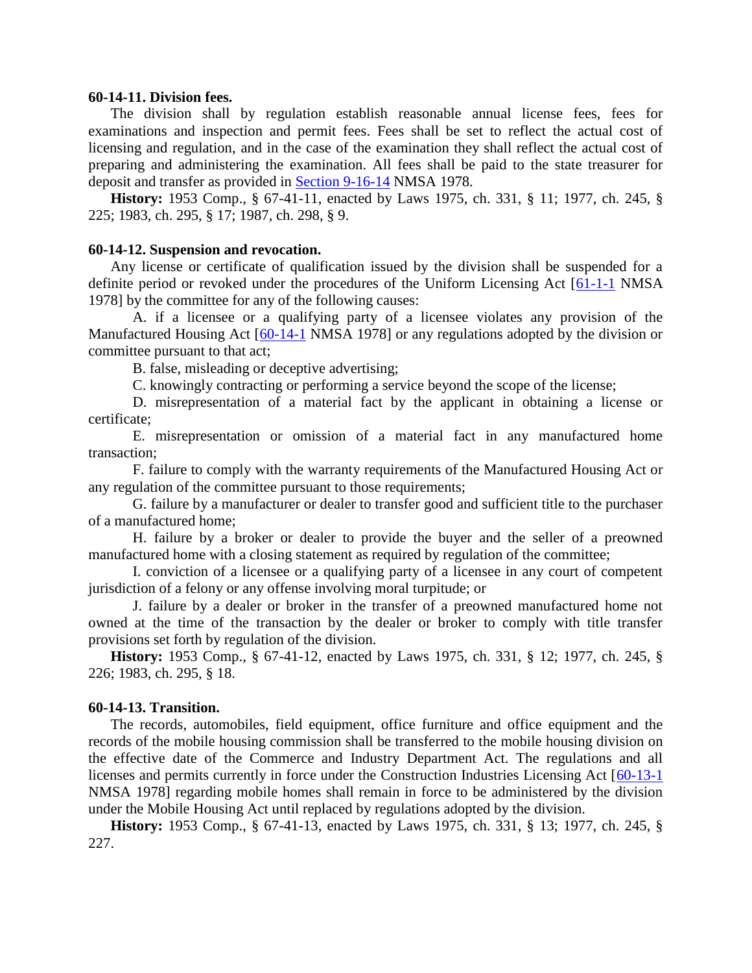### **60-14-11. Division fees.**

The division shall by regulation establish reasonable annual license fees, fees for examinations and inspection and permit fees. Fees shall be set to reflect the actual cost of licensing and regulation, and in the case of the examination they shall reflect the actual cost of preparing and administering the examination. All fees shall be paid to the state treasurer for deposit and transfer as provided in [Section 9-16-14](http://www.nmonesource.com/nmpublic/gateway.dll?f=jumplink$jumplink_x=Advanced$jumplink_vpc=first$jumplink_xsl=querylink.xsl$jumplink_sel=title;path;content-type;home-title;item-bookmark$jumplink_d=%7bnmsu%7d$jumplink_q=%5bfield%20folio-destination-name:) NMSA 1978.

**History:** 1953 Comp., § 67-41-11, enacted by Laws 1975, ch. 331, § 11; 1977, ch. 245, § 225; 1983, ch. 295, § 17; 1987, ch. 298, § 9.

## **60-14-12. Suspension and revocation.**

Any license or certificate of qualification issued by the division shall be suspended for a definite period or revoked under the procedures of the Uniform Licensing Act [\[61-1-1](http://www.nmonesource.com/nmpublic/gateway.dll?f=jumplink$jumplink_x=Advanced$jumplink_vpc=first$jumplink_xsl=querylink.xsl$jumplink_sel=title;path;content-type;home-title;item-bookmark$jumplink_d=%7bnmsu%7d$jumplink_q=%5bfield%20folio-destination-name:) NMSA 1978] by the committee for any of the following causes:

A. if a licensee or a qualifying party of a licensee violates any provision of the Manufactured Housing Act [\[60-14-1](http://www.nmonesource.com/nmpublic/gateway.dll?f=jumplink$jumplink_x=Advanced$jumplink_vpc=first$jumplink_xsl=querylink.xsl$jumplink_sel=title;path;content-type;home-title;item-bookmark$jumplink_d=%7bnmsu%7d$jumplink_q=%5bfield%20folio-destination-name:) NMSA 1978] or any regulations adopted by the division or committee pursuant to that act;

B. false, misleading or deceptive advertising;

C. knowingly contracting or performing a service beyond the scope of the license;

D. misrepresentation of a material fact by the applicant in obtaining a license or certificate;

E. misrepresentation or omission of a material fact in any manufactured home transaction;

F. failure to comply with the warranty requirements of the Manufactured Housing Act or any regulation of the committee pursuant to those requirements;

G. failure by a manufacturer or dealer to transfer good and sufficient title to the purchaser of a manufactured home;

H. failure by a broker or dealer to provide the buyer and the seller of a preowned manufactured home with a closing statement as required by regulation of the committee;

I. conviction of a licensee or a qualifying party of a licensee in any court of competent jurisdiction of a felony or any offense involving moral turpitude; or

J. failure by a dealer or broker in the transfer of a preowned manufactured home not owned at the time of the transaction by the dealer or broker to comply with title transfer provisions set forth by regulation of the division.

**History:** 1953 Comp., § 67-41-12, enacted by Laws 1975, ch. 331, § 12; 1977, ch. 245, § 226; 1983, ch. 295, § 18.

#### **60-14-13. Transition.**

The records, automobiles, field equipment, office furniture and office equipment and the records of the mobile housing commission shall be transferred to the mobile housing division on the effective date of the Commerce and Industry Department Act. The regulations and all licenses and permits currently in force under the Construction Industries Licensing Act [\[60-13-1](http://www.nmonesource.com/nmpublic/gateway.dll?f=jumplink$jumplink_x=Advanced$jumplink_vpc=first$jumplink_xsl=querylink.xsl$jumplink_sel=title;path;content-type;home-title;item-bookmark$jumplink_d=%7bnmsu%7d$jumplink_q=%5bfield%20folio-destination-name:) NMSA 1978] regarding mobile homes shall remain in force to be administered by the division under the Mobile Housing Act until replaced by regulations adopted by the division.

**History:** 1953 Comp., § 67-41-13, enacted by Laws 1975, ch. 331, § 13; 1977, ch. 245, § 227.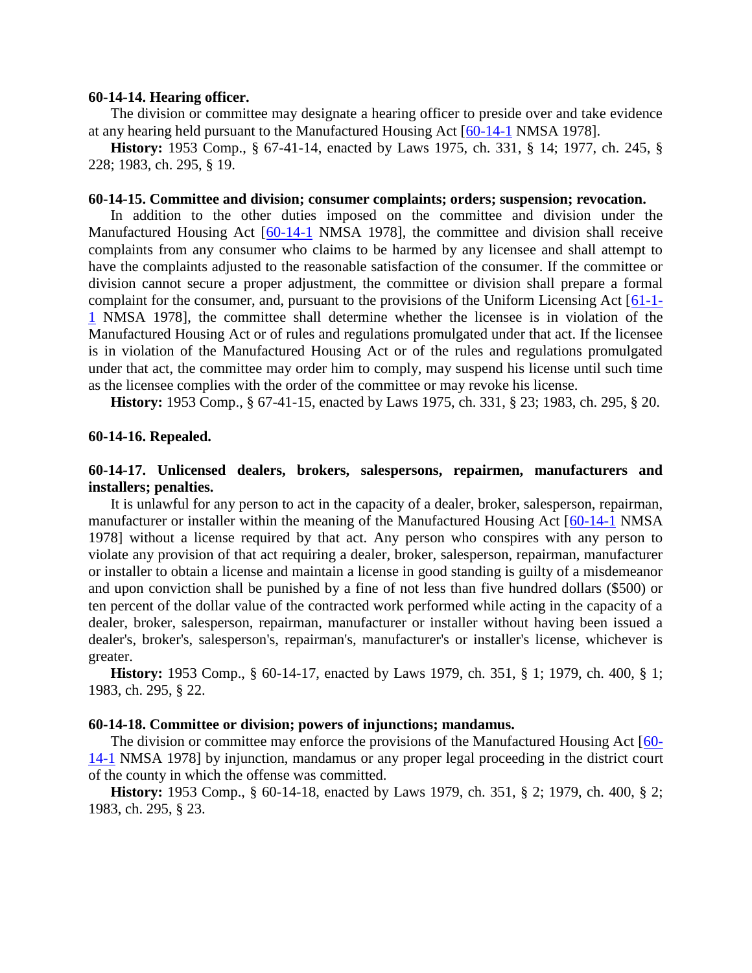#### **60-14-14. Hearing officer.**

The division or committee may designate a hearing officer to preside over and take evidence at any hearing held pursuant to the Manufactured Housing Act [\[60-14-1](http://www.nmonesource.com/nmpublic/gateway.dll?f=jumplink$jumplink_x=Advanced$jumplink_vpc=first$jumplink_xsl=querylink.xsl$jumplink_sel=title;path;content-type;home-title;item-bookmark$jumplink_d=%7bnmsu%7d$jumplink_q=%5bfield%20folio-destination-name:) NMSA 1978].

**History:** 1953 Comp., § 67-41-14, enacted by Laws 1975, ch. 331, § 14; 1977, ch. 245, § 228; 1983, ch. 295, § 19.

### **60-14-15. Committee and division; consumer complaints; orders; suspension; revocation.**

In addition to the other duties imposed on the committee and division under the Manufactured Housing Act [\[60-14-1](http://www.nmonesource.com/nmpublic/gateway.dll?f=jumplink$jumplink_x=Advanced$jumplink_vpc=first$jumplink_xsl=querylink.xsl$jumplink_sel=title;path;content-type;home-title;item-bookmark$jumplink_d=%7bnmsu%7d$jumplink_q=%5bfield%20folio-destination-name:) NMSA 1978], the committee and division shall receive complaints from any consumer who claims to be harmed by any licensee and shall attempt to have the complaints adjusted to the reasonable satisfaction of the consumer. If the committee or division cannot secure a proper adjustment, the committee or division shall prepare a formal complaint for the consumer, and, pursuant to the provisions of the Uniform Licensing Act [\[61-1-](http://www.nmonesource.com/nmpublic/gateway.dll?f=jumplink$jumplink_x=Advanced$jumplink_vpc=first$jumplink_xsl=querylink.xsl$jumplink_sel=title;path;content-type;home-title;item-bookmark$jumplink_d=%7bnmsu%7d$jumplink_q=%5bfield%20folio-destination-name:) [1](http://www.nmonesource.com/nmpublic/gateway.dll?f=jumplink$jumplink_x=Advanced$jumplink_vpc=first$jumplink_xsl=querylink.xsl$jumplink_sel=title;path;content-type;home-title;item-bookmark$jumplink_d=%7bnmsu%7d$jumplink_q=%5bfield%20folio-destination-name:) NMSA 1978], the committee shall determine whether the licensee is in violation of the Manufactured Housing Act or of rules and regulations promulgated under that act. If the licensee is in violation of the Manufactured Housing Act or of the rules and regulations promulgated under that act, the committee may order him to comply, may suspend his license until such time as the licensee complies with the order of the committee or may revoke his license.

**History:** 1953 Comp., § 67-41-15, enacted by Laws 1975, ch. 331, § 23; 1983, ch. 295, § 20.

#### **60-14-16. Repealed.**

# **60-14-17. Unlicensed dealers, brokers, salespersons, repairmen, manufacturers and installers; penalties.**

It is unlawful for any person to act in the capacity of a dealer, broker, salesperson, repairman, manufacturer or installer within the meaning of the Manufactured Housing Act [\[60-14-1](http://www.nmonesource.com/nmpublic/gateway.dll?f=jumplink$jumplink_x=Advanced$jumplink_vpc=first$jumplink_xsl=querylink.xsl$jumplink_sel=title;path;content-type;home-title;item-bookmark$jumplink_d=%7bnmsu%7d$jumplink_q=%5bfield%20folio-destination-name:) NMSA 1978] without a license required by that act. Any person who conspires with any person to violate any provision of that act requiring a dealer, broker, salesperson, repairman, manufacturer or installer to obtain a license and maintain a license in good standing is guilty of a misdemeanor and upon conviction shall be punished by a fine of not less than five hundred dollars (\$500) or ten percent of the dollar value of the contracted work performed while acting in the capacity of a dealer, broker, salesperson, repairman, manufacturer or installer without having been issued a dealer's, broker's, salesperson's, repairman's, manufacturer's or installer's license, whichever is greater.

**History:** 1953 Comp., § 60-14-17, enacted by Laws 1979, ch. 351, § 1; 1979, ch. 400, § 1; 1983, ch. 295, § 22.

## **60-14-18. Committee or division; powers of injunctions; mandamus.**

The division or committee may enforce the provisions of the Manufactured Housing Act [\[60-](http://www.nmonesource.com/nmpublic/gateway.dll?f=jumplink$jumplink_x=Advanced$jumplink_vpc=first$jumplink_xsl=querylink.xsl$jumplink_sel=title;path;content-type;home-title;item-bookmark$jumplink_d=%7bnmsu%7d$jumplink_q=%5bfield%20folio-destination-name:) [14-1](http://www.nmonesource.com/nmpublic/gateway.dll?f=jumplink$jumplink_x=Advanced$jumplink_vpc=first$jumplink_xsl=querylink.xsl$jumplink_sel=title;path;content-type;home-title;item-bookmark$jumplink_d=%7bnmsu%7d$jumplink_q=%5bfield%20folio-destination-name:) NMSA 1978] by injunction, mandamus or any proper legal proceeding in the district court of the county in which the offense was committed.

**History:** 1953 Comp., § 60-14-18, enacted by Laws 1979, ch. 351, § 2; 1979, ch. 400, § 2; 1983, ch. 295, § 23.